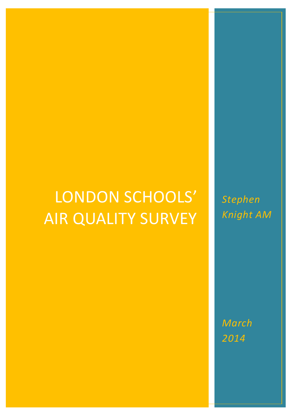# LONDON SCHOOLS' AIR QUALITY SURVEY

*Stephen Knight AM*

*March 2014*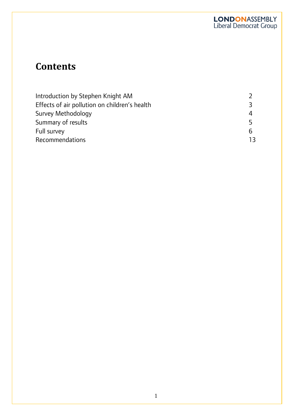### **Contents**

| Effects of air pollution on children's health |    |  |  |
|-----------------------------------------------|----|--|--|
| Survey Methodology                            |    |  |  |
| Summary of results                            |    |  |  |
| Full survey                                   |    |  |  |
| <b>Recommendations</b>                        | 13 |  |  |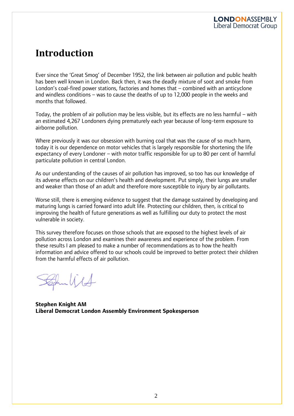### **Introduction**

I

Ever since the 'Great Smog' of December 1952, the link between air pollution and public health has been well known in London. Back then, it was the deadly mixture of soot and smoke from London's coal-fired power stations, factories and homes that – combined with an anticyclone and windless conditions – was to cause the deaths of up to 12,000 people in the weeks and months that followed.

Today, the problem of air pollution may be less visible, but its effects are no less harmful – with an estimated 4,267 Londoners dying prematurely each year because of long-term exposure to airborne pollution.

Where previously it was our obsession with burning coal that was the cause of so much harm, today it is our dependence on motor vehicles that is largely responsible for shortening the life expectancy of every Londoner – with motor traffic responsible for up to 80 per cent of harmful particulate pollution in central London.

As our understanding of the causes of air pollution has improved, so too has our knowledge of its adverse effects on our children's health and development. Put simply, their lungs are smaller and weaker than those of an adult and therefore more susceptible to injury by air pollutants.

Worse still, there is emerging evidence to suggest that the damage sustained by developing and maturing lungs is carried forward into adult life. Protecting our children, then, is critical to improving the health of future generations as well as fulfilling our duty to protect the most vulnerable in society.

This survey therefore focuses on those schools that are exposed to the highest levels of air pollution across London and examines their awareness and experience of the problem. From these results I am pleased to make a number of recommendations as to how the health information and advice offered to our schools could be improved to better protect their children from the harmful effects of air pollution.

Frankla

**Stephen Knight AM Liberal Democrat London Assembly Environment Spokesperson**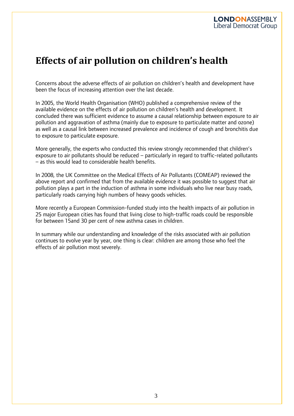### **Effects of air pollution on children's health**

I

Concerns about the adverse effects of air pollution on children's health and development have been the focus of increasing attention over the last decade.

In 2005, the World Health Organisation (WHO) published a comprehensive review of the available evidence on the effects of air pollution on children's health and development. It concluded there was sufficient evidence to assume a causal relationship between exposure to air pollution and aggravation of asthma (mainly due to exposure to particulate matter and ozone) as well as a causal link between increased prevalence and incidence of cough and bronchitis due to exposure to particulate exposure.

More generally, the experts who conducted this review strongly recommended that children's exposure to air pollutants should be reduced – particularly in regard to traffic-related pollutants – as this would lead to considerable health benefits.

In 2008, the UK Committee on the Medical Effects of Air Pollutants (COMEAP) reviewed the above report and confirmed that from the available evidence it was possible to suggest that air pollution plays a part in the induction of asthma in some individuals who live near busy roads, particularly roads carrying high numbers of heavy goods vehicles.

More recently a European Commission-funded study into the health impacts of air pollution in 25 major European cities has found that living close to high-traffic roads could be responsible for between 15and 30 per cent of new asthma cases in children.

In summary while our understanding and knowledge of the risks associated with air pollution continues to evolve year by year, one thing is clear: children are among those who feel the effects of air pollution most severely.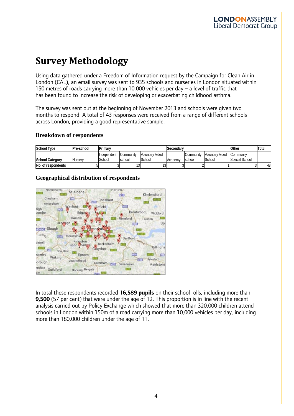### **Survey Methodology**

I

Using data gathered under a Freedom of Information request by the Campaign for Clean Air in London (CAL), an email survey was sent to 935 schools and nurseries in London situated within 150 metres of roads carrying more than 10,000 vehicles per day – a level of traffic that has been found to increase the risk of developing or exacerbating childhood asthma.

The survey was sent out at the beginning of November 2013 and schools were given two months to respond. A total of 43 responses were received from a range of different schools across London, providing a good representative sample:

#### **Breakdown of respondents**

| <b>School Type</b>     | <b>Pre-school</b> | Primary     |           |                 | <b>ISecondarv</b> |           |                        | <b>Other</b>   | Total |
|------------------------|-------------------|-------------|-----------|-----------------|-------------------|-----------|------------------------|----------------|-------|
|                        |                   | Independent | Community | Voluntary Aided |                   | Community | <b>Voluntary Aided</b> | Community      |       |
| <b>School Category</b> | Nurserv           | School      | school    | School          | Academy           | school    | School                 | Special School |       |
| No. of respondents     |                   |             | טו        | IJ              |                   |           |                        |                | 43    |

#### **Geographical distribution of respondents**



In total these respondents recorded **16,589 pupils** on their school rolls, including more than **9,500** (57 per cent) that were under the age of 12. This proportion is in line with the recent analysis carried out by Policy Exchange which showed that more than 320,000 children attend schools in London within 150m of a road carrying more than 10,000 vehicles per day, including more than 180,000 children under the age of 11.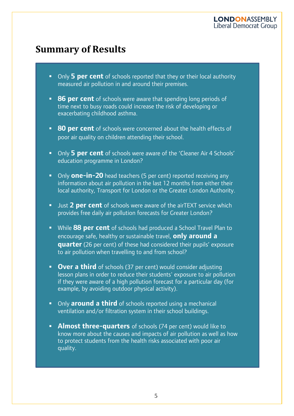### **Summary of Results**

- Only **5 per cent** of schools reported that they or their local authority measured air pollution in and around their premises.
- **86 per cent** of schools were aware that spending long periods of time next to busy roads could increase the risk of developing or exacerbating childhood asthma.
- **80 per cent** of schools were concerned about the health effects of poor air quality on children attending their school.
- Only **5 per cent** of schools were aware of the 'Cleaner Air 4 Schools' education programme in London?
- **Only one-in-20** head teachers (5 per cent) reported receiving any information about air pollution in the last 12 months from either their local authority, Transport for London or the Greater London Authority.
- **URICE 12 PER CENT** of schools were aware of the airTEXT service which provides free daily air pollution forecasts for Greater London?
- While **88 per cent** of schools had produced a School Travel Plan to encourage safe, healthy or sustainable travel, **only around a quarter** (26 per cent) of these had considered their pupils' exposure to air pollution when travelling to and from school?
- **Dver a third** of schools (37 per cent) would consider adjusting lesson plans in order to reduce their students' exposure to air pollution if they were aware of a high pollution forecast for a particular day (for example, by avoiding outdoor physical activity).
- **Only around a third** of schools reported using a mechanical ventilation and/or filtration system in their school buildings.
- **Almost three-quarters** of schools (74 per cent) would like to know more about the causes and impacts of air pollution as well as how to protect students from the health risks associated with poor air quality.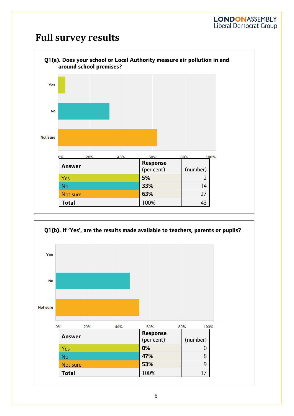### **Full survey results**



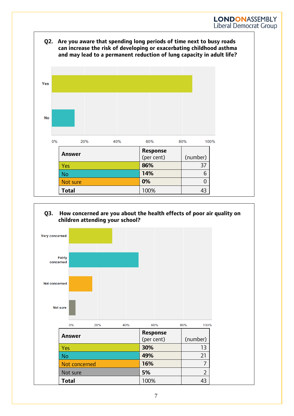

I

#### **Q3. How concerned are you about the health effects of poor air quality on children attending your school?**

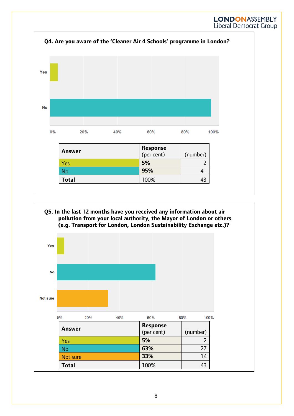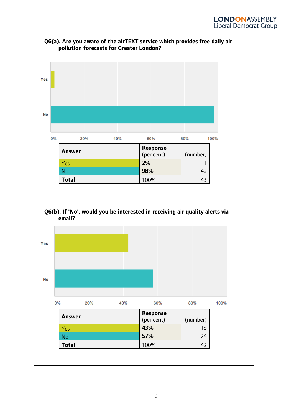

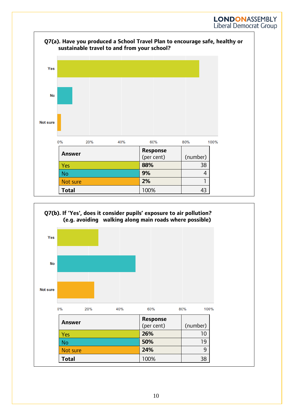![](_page_10_Figure_1.jpeg)

![](_page_10_Figure_2.jpeg)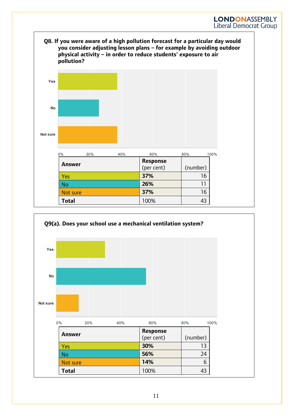**Q8. If you were aware of a high pollution forecast for a particular day would you consider adjusting lesson plans – for example by avoiding outdoor physical activity – in order to reduce students' exposure to air pollution?**

![](_page_11_Figure_2.jpeg)

![](_page_11_Figure_3.jpeg)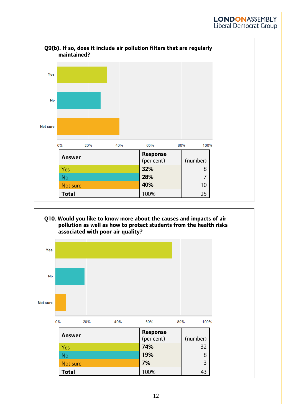![](_page_12_Figure_1.jpeg)

I

#### **Q10. Would you like to know more about the causes and impacts of air pollution as well as how to protect students from the health risks associated with poor air quality?**

![](_page_12_Figure_3.jpeg)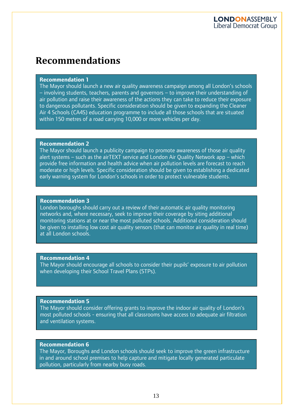### **Recommendations**

#### **Recommendation 1**

I

The Mayor should launch a new air quality awareness campaign among all London's schools – involving students, teachers, parents and governors – to improve their understanding of air pollution and raise their awareness of the actions they can take to reduce their exposure to dangerous pollutants. Specific consideration should be given to expanding the Cleaner Air 4 Schools (CA4S) education programme to include all those schools that are situated within 150 metres of a road carrying 10,000 or more vehicles per day.

#### **Recommendation 2**

The Mayor should launch a publicity campaign to promote awareness of those air quality alert systems – such as the airTEXT service and London Air Quality Network app – which provide free information and health advice when air pollution levels are forecast to reach moderate or high levels. Specific consideration should be given to establishing a dedicated early warning system for London's schools in order to protect vulnerable students.

#### **Recommendation 3**

London boroughs should carry out a review of their automatic air quality monitoring networks and, where necessary, seek to improve their coverage by siting additional monitoring stations at or near the most polluted schools. Additional consideration should be given to installing low cost air quality sensors (that can monitor air quality in real time) at all London schools.

#### **Recommendation 4**

The Mayor should encourage all schools to consider their pupils' exposure to air pollution when developing their School Travel Plans (STPs).

#### **Recommendation 5**

The Mayor should consider offering grants to improve the indoor air quality of London's most polluted schools - ensuring that all classrooms have access to adequate air filtration and ventilation systems.

#### **Recommendation 5 Recommendation 6**

The Mayor, Boroughs and London schools should seek to improve the green infrastructure in and around school premises to help capture and mitigate locally generated particulate pollution, particularly from nearby busy roads.